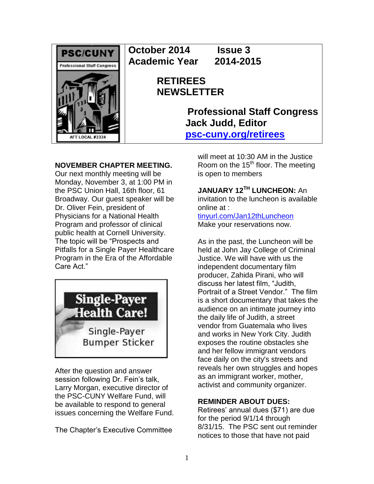

**October 2014 Issue 3 Academic Year 2014-2015**

# **RETIREES NEWSLETTER**

**Professional Staff Congress Jack Judd, Editor [psc-cuny.org/retirees](http://www.psc-cuny.org/retirees)**

## **NOVEMBER CHAPTER MEETING.**

Our next monthly meeting will be Monday, November 3, at 1:00 PM in the PSC Union Hall, 16th floor, 61 Broadway. Our guest speaker will be Dr. Oliver Fein, president of Physicians for a National Health Program and professor of clinical public health at Cornell University. The topic will be "Prospects and Pitfalls for a Single Payer Healthcare Program in the Era of the Affordable Care Act."



After the question and answer session following Dr. Fein's talk, Larry Morgan, executive director of the PSC-CUNY Welfare Fund, will be available to respond to general issues concerning the Welfare Fund.

The Chapter's Executive Committee

will meet at 10:30 AM in the Justice Room on the  $15<sup>th</sup>$  floor. The meeting is open to members

**JANUARY 12TH LUNCHEON:** An invitation to the luncheon is available online at :

[tinyurl.com/Jan12thLuncheon](http://tinyurl.com/Jan12thLuncheon) Make your reservations now.

As in the past, the Luncheon will be held at John Jay College of Criminal Justice. We will have with us the independent documentary film producer, Zahida Pirani, who will discuss her latest film, "Judith, Portrait of a Street Vendor." The film is a short documentary that takes the audience on an intimate journey into the daily life of Judith, a street vendor from Guatemala who lives and works in New York City. Judith exposes the routine obstacles she and her fellow immigrant vendors face daily on the city's streets and reveals her own struggles and hopes as an immigrant worker, mother, activist and community organizer.

### **REMINDER ABOUT DUES:**

Retirees' annual dues (\$71) are due for the period 9/1/14 through 8/31/15. The PSC sent out reminder notices to those that have not paid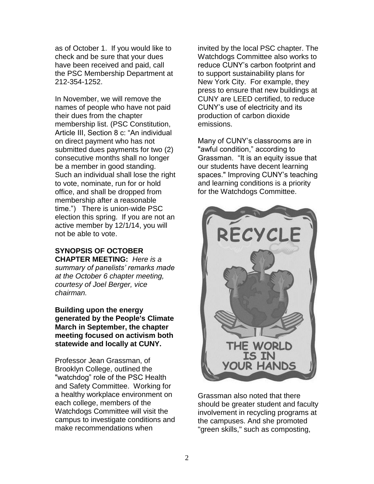as of October 1. If you would like to check and be sure that your dues have been received and paid, call the PSC Membership Department at 212-354-1252.

In November, we will remove the names of people who have not paid their dues from the chapter membership list. (PSC Constitution, Article III, Section 8 c: "An individual on direct payment who has not submitted dues payments for two (2) consecutive months shall no longer be a member in good standing. Such an individual shall lose the right to vote, nominate, run for or hold office, and shall be dropped from membership after a reasonable time.") There is union-wide PSC election this spring. If you are not an active member by 12/1/14, you will not be able to vote.

#### **SYNOPSIS OF OCTOBER CHAPTER MEETING:** *Here is a*

*summary of panelists' remarks made at the October 6 chapter meeting, courtesy of Joel Berger, vice chairman.*

**Building upon the energy generated by the People's Climate March in September, the chapter meeting focused on activism both statewide and locally at CUNY.**

Professor Jean Grassman, of Brooklyn College, outlined the "watchdog" role of the PSC Health and Safety Committee. Working for a healthy workplace environment on each college, members of the Watchdogs Committee will visit the campus to investigate conditions and make recommendations when

invited by the local PSC chapter. The Watchdogs Committee also works to reduce CUNY's carbon footprint and to support sustainability plans for New York City. For example, they press to ensure that new buildings at CUNY are LEED certified, to reduce CUNY's use of electricity and its production of carbon dioxide emissions.

Many of CUNY's classrooms are in "awful condition," according to Grassman. "It is an equity issue that our students have decent learning spaces." Improving CUNY's teaching and learning conditions is a priority for the Watchdogs Committee.



Grassman also noted that there should be greater student and faculty involvement in recycling programs at the campuses. And she promoted "green skills," such as composting,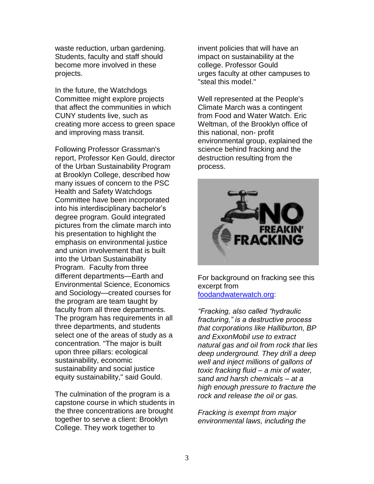waste reduction, urban gardening. Students, faculty and staff should become more involved in these projects.

In the future, the Watchdogs Committee might explore projects that affect the communities in which CUNY students live, such as creating more access to green space and improving mass transit.

Following Professor Grassman's report, Professor Ken Gould, director of the Urban Sustainability Program at Brooklyn College, described how many issues of concern to the PSC Health and Safety Watchdogs Committee have been incorporated into his interdisciplinary bachelor's degree program. Gould integrated pictures from the climate march into his presentation to highlight the emphasis on environmental justice and union involvement that is built into the Urban Sustainability Program. Faculty from three different departments—Earth and Environmental Science, Economics and Sociology—created courses for the program are team taught by faculty from all three departments. The program has requirements in all three departments, and students select one of the areas of study as a concentration. "The major is built upon three pillars: ecological sustainability, economic sustainability and social justice equity sustainability," said Gould.

The culmination of the program is a capstone course in which students in the three concentrations are brought together to serve a client: Brooklyn College. They work together to

invent policies that will have an impact on sustainability at the college. Professor Gould urges faculty at other campuses to "steal this model."

Well represented at the People's Climate March was a contingent from Food and Water Watch. Eric Weltman, of the Brooklyn office of this national, non- profit environmental group, explained the science behind fracking and the destruction resulting from the process.



For background on fracking see this excerpt from [foodandwaterwatch.org:](http://foodandwaterwatch.org/)

*"Fracking, also called "hydraulic fracturing," is a destructive process that corporations like Halliburton, BP and ExxonMobil use to extract natural gas and oil from rock that lies deep underground. They drill a deep well and inject millions of gallons of toxic fracking fluid – a mix of water, sand and harsh chemicals – at a high enough pressure to fracture the rock and release the oil or gas.*

*Fracking is exempt from major environmental laws, including the*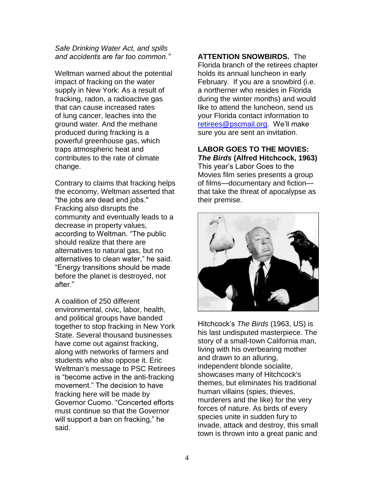*Safe Drinking Water Act, and spills and accidents are far too common."*

Weltman warned about the potential impact of fracking on the water supply in New York: As a result of fracking, radon, a radioactive gas that can cause increased rates of lung cancer, leaches into the ground water. And the methane produced during fracking is a powerful greenhouse gas, which traps atmospheric heat and contributes to the rate of climate change.

Contrary to claims that fracking helps the economy, Weltman asserted that "the jobs are dead end jobs." Fracking also disrupts the community and eventually leads to a decrease in property values, according to Weltman. "The public should realize that there are alternatives to natural gas, but no alternatives to clean water," he said. "Energy transitions should be made before the planet is destroyed, not after."

A coalition of 250 different environmental, civic, labor, health, and political groups have banded together to stop fracking in New York State. Several thousand businesses have come out against fracking, along with networks of farmers and students who also oppose it. Eric Weltman's message to PSC Retirees is "become active in the anti-fracking movement." The decision to have fracking here will be made by Governor Cuomo. "Concerted efforts must continue so that the Governor will support a ban on fracking," he said.

**ATTENTION SNOWBIRDS.** The

Florida branch of the retirees chapter holds its annual luncheon in early February. If you are a snowbird (i.e. a northerner who resides in Florida during the winter months) and would like to attend the luncheon, send us your Florida contact information to [retirees@pscmail.org.](mailto:retirees@pscmail.org) We'll make sure you are sent an invitation.

### **LABOR GOES TO THE MOVIES:**  *The Birds* **(Alfred Hitchcock, 1963)**

This year's Labor Goes to the Movies film series presents a group of films—documentary and fiction that take the threat of apocalypse as their premise.



Hitchcock's *The Birds* (1963, US) is his last undisputed masterpiece. The story of a small-town California man, living with his overbearing mother and drawn to an alluring, independent blonde socialite, showcases many of Hitchcock's themes, but eliminates his traditional human villains (spies, thieves, murderers and the like) for the very forces of nature. As birds of every species unite in sudden fury to invade, attack and destroy, this small town is thrown into a great panic and